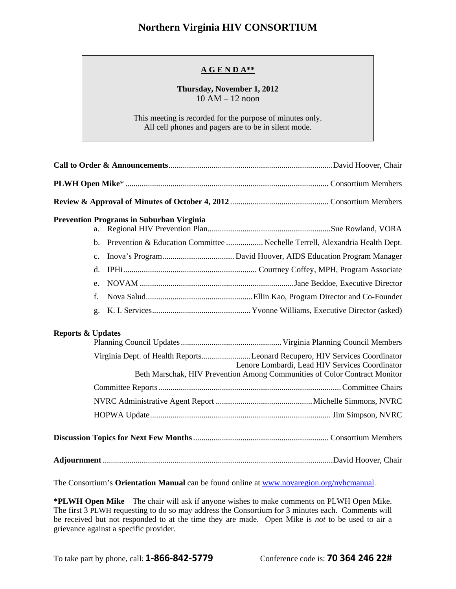## **Northern Virginia HIV CONSORTIUM**

## **A G E N D A\*\***

## **Thursday, November 1, 2012**  10 AM – 12 noon

This meeting is recorded for the purpose of minutes only. All cell phones and pagers are to be in silent mode.

| <b>Prevention Programs in Suburban Virginia</b><br>a. |                                                                                                                                                                                                           |
|-------------------------------------------------------|-----------------------------------------------------------------------------------------------------------------------------------------------------------------------------------------------------------|
|                                                       | b. Prevention & Education Committee  Nechelle Terrell, Alexandria Health Dept.                                                                                                                            |
| $C_{\bullet}$                                         |                                                                                                                                                                                                           |
| $d_{\cdot}$                                           |                                                                                                                                                                                                           |
| $e_{i}$                                               |                                                                                                                                                                                                           |
| f.                                                    |                                                                                                                                                                                                           |
| g.                                                    |                                                                                                                                                                                                           |
| <b>Reports &amp; Updates</b>                          |                                                                                                                                                                                                           |
|                                                       | Virginia Dept. of Health ReportsLeonard Recupero, HIV Services Coordinator<br>Lenore Lombardi, Lead HIV Services Coordinator<br>Beth Marschak, HIV Prevention Among Communities of Color Contract Monitor |
|                                                       |                                                                                                                                                                                                           |
|                                                       |                                                                                                                                                                                                           |
|                                                       |                                                                                                                                                                                                           |
|                                                       |                                                                                                                                                                                                           |
|                                                       |                                                                                                                                                                                                           |

The Consortium's **Orientation Manual** can be found online at www.novaregion.org/nvhcmanual.

**\*PLWH Open Mike** – The chair will ask if anyone wishes to make comments on PLWH Open Mike. The first 3 PLWH requesting to do so may address the Consortium for 3 minutes each. Comments will be received but not responded to at the time they are made. Open Mike is *not* to be used to air a grievance against a specific provider.